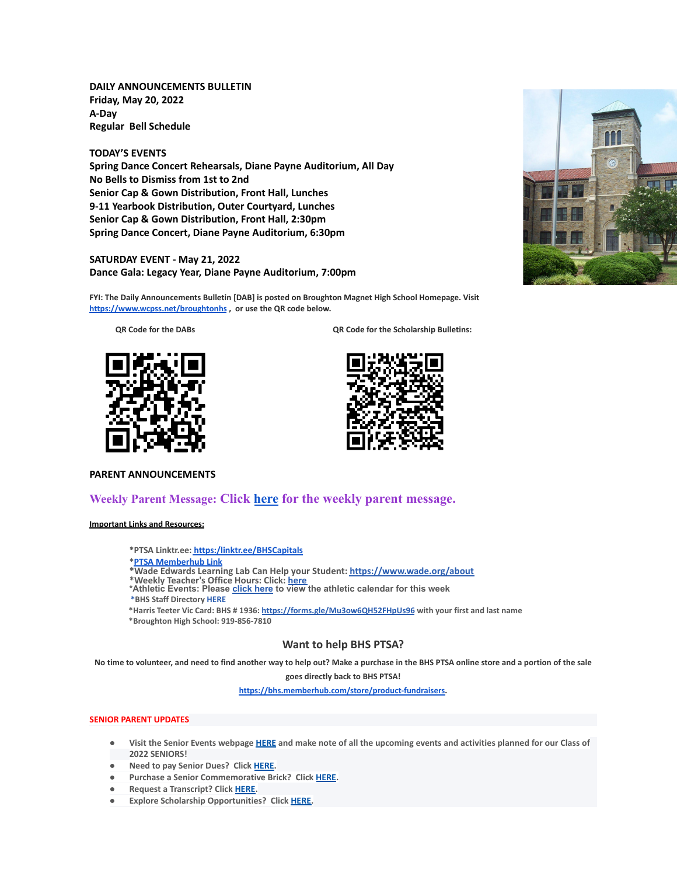**DAILY ANNOUNCEMENTS BULLETIN Friday, May 20, 2022 A-Day Regular Bell Schedule**

**TODAY'S EVENTS Spring Dance Concert Rehearsals, Diane Payne Auditorium, All Day No Bells to Dismiss from 1st to 2nd Senior Cap & Gown Distribution, Front Hall, Lunches 9-11 Yearbook Distribution, Outer Courtyard, Lunches Senior Cap & Gown Distribution, Front Hall, 2:30pm Spring Dance Concert, Diane Payne Auditorium, 6:30pm**

# **SATURDAY EVENT - May 21, 2022 Dance Gala: Legacy Year, Diane Payne Auditorium, 7:00pm**

**FYI: The Daily Announcements Bulletin [DAB] is posted on Broughton Magnet High School Homepage. Visit <https://www.wcpss.net/broughtonhs> , or use the QR code below.**

**QR Code for the DABs QR Code for the Scholarship Bulletins:**





#### **PARENT ANNOUNCEMENTS**

# **Weekly Parent Message: Click [here](https://docs.google.com/document/d/1GYZJxmyqEekEFfzncfr-QTM9xQOudg7eL2OQZsuwmiI/edit?usp=sharing) for the weekly parent message.**

# **Important Links and Resources:**

**\*PTSA Linktr.ee: [https:/linktr.ee/BHSCapitals](https://linktr.ee/BHSCapitals)**

### **\*PTSA [Memberhub](https://bhs.memberhub.com/store?category=Class%20of%202025) Link**

- **\*Wade Edwards Learning Lab Can Help your Student: <https://www.wade.org/about>**
- \*Weekly Teacher's Office Hours: Click: <u>[here](http://track.spe.schoolmessenger.com/f/a/VXmQUgL3DjY_xouvtQeSYg~~/AAAAAQA~/RgRjH1ehP0QiaHR0cHM6Ly93d3cud2Nwc3MubmV0L2RvbWFpbi8xNzY0MlcHc2Nob29sbUIKYTghJD5h5cteolIYa21jY29ubmVsbEBidWRkZ3JvdXAuY29tWAQAAAAB)</u><br>\*Athletic Events: Please <u>[click](http://track.spe.schoolmessenger.com/f/a/iNb9DXg0NxAeuYTJ_UBTRg~~/AAAAAQA~/RgRjH1ehP0RFaHR0cHM6Ly93d3cud2FrZWNvdW50eWF0aGxldGljcy5jb20vcGFnZS9zaG93LzE5NTI5MzQtbWFzdGVyLWNhbGVuZGFyVwdzY2hvb2xtQgphOCEkPmHly16iUhhrbWNjb25uZWxsQGJ1ZGRncm91cC5jb21YBAAAAAE~) here</u> to view the athletic calendar for this week
- **\*BHS Staff Directory [HERE](https://www.wcpss.net/Page/45215)**

**\*Harris Teeter Vic Card: BHS # 1936: <https://forms.gle/Mu3ow6QH52FHpUs96> with your first and last name \*Broughton High School: 919-856-7810**

# **Want to help BHS PTSA?**

No time to volunteer, and need to find another way to help out? Make a purchase in the BHS PTSA online store and a portion of the sale **goes directly back to BHS PTSA!**

**[https://bhs.memberhub.com/store/product-fundraisers.](https://bhs.memberhub.com/store/product-fundraisers)**

### **SENIOR PARENT UPDATES**

- Visit the Senior Events webpage [HERE](https://m7scym5f.r.us-east-1.awstrack.me/L0/https:%2F%2Fwww.wcpss.net%2FPage%2F35370/1/0100017e4478ab83-fd134d52-021b-4d63-891c-31465321890c-000000/l2HEysyraEkyUxmN8Zb7rr0KEog=252) and make note of all the upcoming events and activities planned for our Class of **2022 SENIORS!**
- **● Need to pay Senior Dues? Click [HERE.](https://m7scym5f.r.us-east-1.awstrack.me/L0/https:%2F%2Fwww.wcpss.net%2FPage%2F50324/1/0100017e4478ab83-fd134d52-021b-4d63-891c-31465321890c-000000/ClmJnMcZl7w6dHljZfUUpO1RgFY=252)**
- **● Purchase a Senior Commemorative Brick? Click [HERE](https://m7scym5f.r.us-east-1.awstrack.me/L0/https:%2F%2Fwww.wcpss.net%2FPage%2F50325/1/0100017e4478ab83-fd134d52-021b-4d63-891c-31465321890c-000000/TOIvngfsD6BboqDTmL5ZVjjDlM4=252).**
- **● Request a Transcript? Click [HERE](https://m7scym5f.r.us-east-1.awstrack.me/L0/https:%2F%2Fwww.wcpss.net%2FPage%2F33378/1/0100017e4478ab83-fd134d52-021b-4d63-891c-31465321890c-000000/wkbUPzHaF79-OclNJOg-dOdn-Xk=252).**
- **● Explore Scholarship Opportunities? Click [HERE.](https://m7scym5f.r.us-east-1.awstrack.me/L0/https:%2F%2Fwww.wcpss.net%2FPage%2F50317/1/0100017e4478ab83-fd134d52-021b-4d63-891c-31465321890c-000000/vl1ViXxu5uYo9BoHks452rI6848=252)**

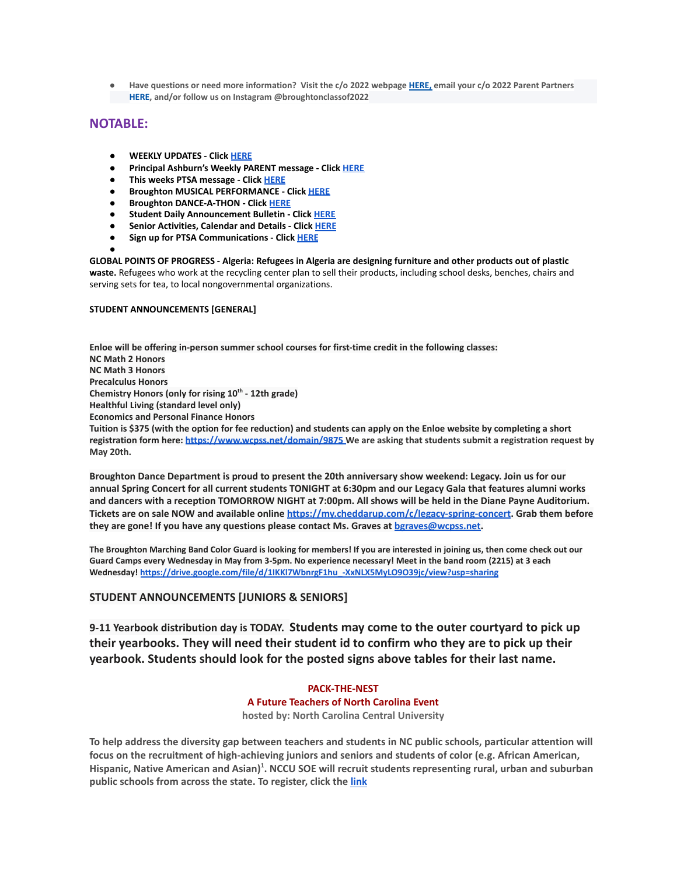Have questions or need more information? Visit the c/o 2022 webpage [HERE,](https://m7scym5f.r.us-east-1.awstrack.me/L0/https:%2F%2Fbhs.memberhub.com%2Fw%2F2022/1/0100017e4478ab83-fd134d52-021b-4d63-891c-31465321890c-000000/oTZaKWxhWWOo0o48Mf6887IPe6k=252) email your c/o 2022 Parent Partners **HERE, and/or follow us on Instagram @broughtonclassof2022**

# **NOTABLE:**

- **● WEEKLY UPDATES Click [HERE](https://drive.google.com/drive/folders/1CBJyOBZLT2bbse2WsoRb7AlIBqVSgGi9?usp=sharing)**
- **● Principal Ashburn's Weekly PARENT message Click [HERE](https://www.wcpss.net/Page/49483)**
- **● This weeks PTSA message Click [HERE](https://bhs.memberhub.com/sends/5a5d78ea-5171-46b7-86fb-19c3d16d11af/view/)**
- **● Broughton MUSICAL PERFORMANCE Click [HERE](https://www.wcpss.net/site/default.aspx?PageType=3&DomainID=4392&ModuleInstanceID=21100&ViewID=6446EE88-D30C-497E-9316-3F8874B3E108&RenderLoc=0&FlexDataID=249883&PageID=9712)**
- **● Broughton DANCE-A-THON Click [HERE](https://www.wcpss.net/site/default.aspx?PageType=3&DomainID=4392&ModuleInstanceID=21100&ViewID=6446EE88-D30C-497E-9316-3F8874B3E108&RenderLoc=0&FlexDataID=250036&PageID=9712)**
- **● Student Daily Announcement Bulletin Click [HERE](https://www.wcpss.net/domain/14645)**
- **● Senior Activities, Calendar and Details Click [HERE](https://www.wcpss.net/domain/13527)**
- **● Sign up for PTSA Communications Click [HERE](https://bhs.memberhub.com/join/6211b1)**

**●**

**GLOBAL POINTS OF PROGRESS - Algeria: Refugees in Algeria are designing furniture and other products out of plastic waste.** Refugees who work at the recycling center plan to sell their products, including school desks, benches, chairs and serving sets for tea, to local nongovernmental organizations.

# **STUDENT ANNOUNCEMENTS [GENERAL]**

**Enloe will be offering in-person summer school courses for first-time credit in the following classes: NC Math 2 Honors NC Math 3 Honors Precalculus Honors Chemistry Honors (only for rising 10th - 12th grade) Healthful Living (standard level only) Economics and Personal Finance Honors Tuition is \$375 (with the option for fee reduction) and students can apply on the Enloe website by completing a short registration form here: <https://www.wcpss.net/domain/9875> We are asking that students submit a registration request by May 20th.**

**Broughton Dance Department is proud to present the 20th anniversary show weekend: Legacy. Join us for our** annual Spring Concert for all current students TONIGHT at 6:30pm and our Legacy Gala that features alumni works and dancers with a reception TOMORROW NIGHT at 7:00pm. All shows will be held in the Diane Payne Auditorium. **Tickets are on sale NOW and available online <https://my.cheddarup.com/c/legacy-spring-concert>. Grab them before they are gone! If you have any questions please contact Ms. Graves at [bgraves@wcpss.net.](mailto:bgraves@wcpss.net)**

The Broughton Marching Band Color Guard is looking for members! If you are interested in joining us, then come check out our Guard Camps every Wednesday in May from 3-5pm. No experience necessary! Meet in the band room (2215) at 3 each **Wednesday! [https://drive.google.com/file/d/1IKKl7WbnrgF1hu\\_-XxNLX5MyLO9O39jc/view?usp=sharing](https://drive.google.com/file/d/1IKKl7WbnrgF1hu_-XxNLX5MyLO9O39jc/view?usp=sharing)**

# **STUDENT ANNOUNCEMENTS [JUNIORS & SENIORS]**

**9-11 Yearbook distribution day is TODAY. Students may come to the outer courtyard to pick up their yearbooks. They will need their student id to confirm who they are to pick up their yearbook. Students should look for the posted signs above tables for their last name.**

# **PACK-THE-NEST A Future Teachers of North Carolina Event hosted by: North Carolina Central University**

To help address the diversity gap between teachers and students in NC public schools, particular attention will **focus on the recruitment of high-achieving juniors and seniors and students of color (e.g. African American,** Hispanic, Native American and Asian)<sup>1</sup>. NCCU SOE will recruit students representing rural, urban and suburban **public schools from across the state. To register, click the [link](https://forms.gle/1MaHrmmkfmE5zvyt5)**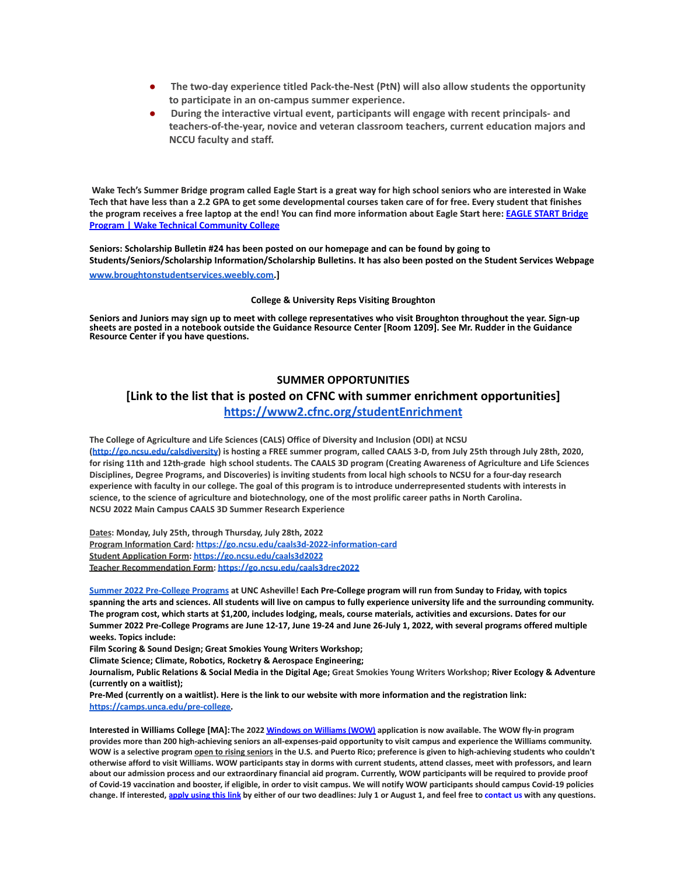- **● The two-day experience titled Pack-the-Nest (PtN) will also allow students the opportunity to participate in an on-campus summer experience.**
- **● During the interactive virtual event, participants will engage with recent principals- and teachers-of-the-year, novice and veteran classroom teachers, current education majors and NCCU faculty and staff.**

**Wake Tech's Summer Bridge program called Eagle Start is a great way for high school seniors who are interested in Wake Tech that have less than a 2.2 GPA to get some developmental courses taken care of for free. Every student that finishes the program receives a free laptop at the end! You can find more information about Eagle Start here: [EAGLE START Bridge](https://www.waketech.edu/student-life/pathways-male-mentoring/eagle-start) [Program | Wake Technical Community College](https://www.waketech.edu/student-life/pathways-male-mentoring/eagle-start)**

**Seniors: Scholarship Bulletin #24 has been posted on our homepage and can be found by going to Students/Seniors/Scholarship Information/Scholarship Bulletins. It has also been posted on the Student Services Webpage [www.broughtonstudentservices.weebly.com.](http://www.broughtonstudentservices.weebly.com)]**

#### **College & University Reps Visiting Broughton**

**Seniors and Juniors may sign up to meet with college representatives who visit Broughton throughout the year. Sign-up sheets are posted in a notebook outside the Guidance Resource Center [Room 1209]. See Mr. Rudder in the Guidance Resource Center if you have questions.**

# **SUMMER OPPORTUNITIES**

# **[Link to the list that is posted on CFNC with summer enrichment opportunities]**

# **<https://www2.cfnc.org/studentEnrichment>**

**The College of Agriculture and Life Sciences (CALS) Office of Diversity and Inclusion (ODI) at NCSU** (<http://go.ncsu.edu/calsdiversity>) is hosting a FREE summer program, called CAALS 3-D, from July 25th through July 28th, 2020, for rising 11th and 12th-grade high school students. The CAALS 3D program (Creating Awareness of Agriculture and Life Sciences Disciplines, Degree Programs, and Discoveries) is inviting students from local high schools to NCSU for a four-day research experience with faculty in our college. The goal of this program is to introduce underrepresented students with interests in science, to the science of agriculture and biotechnology, one of the most prolific career paths in North Carolina. **NCSU 2022 Main Campus CAALS 3D Summer Research Experience**

**Dates: Monday, July 25th, through Thursday, July 28th, 2022 Program Information Card: <https://go.ncsu.edu/caals3d-2022-information-card> Student Application Form: <https://go.ncsu.edu/caals3d2022> Teacher Recommendation Form: <https://go.ncsu.edu/caals3drec2022>**

Summer 2022 [Pre-College](https://camps.unca.edu/pre-college-programs/) Programs at UNC Asheville! Each Pre-College program will run from Sunday to Friday, with topics spanning the arts and sciences. All students will live on campus to fully experience university life and the surrounding community. The program cost, which starts at \$1,200, includes lodging, meals, course materials, activities and excursions. Dates for our Summer 2022 Pre-College Programs are June 12-17, June 19-24 and June 26-July 1, 2022, with several programs offered multiple **weeks. Topics include:**

**Film Scoring & Sound Design; Great Smokies Young Writers Workshop;**

**Climate Science; Climate, Robotics, Rocketry & Aerospace Engineering;**

Journalism, Public Relations & Social Media in the Digital Age; Great Smokies Young Writers Workshop; River Ecology & Adventure **(currently on a waitlist);**

Pre-Med (currently on a waitlist). Here is the link to our website with more information and the registration link[:](https://camps.unca.edu/pre-college) **[https://camps.unca.edu/pre-college.](https://camps.unca.edu/pre-college)**

Interested in Williams College [MA]: The 2022 [Windows](https://mx.technolutions.net/ss/c/gsby7xed_Q9kJKoUKuDGdEDQ5EZ0zkf0Se-vEN2pcLJvNieDIGwebw0_W5a1u8B3fbzELF4xmRGdbuWDLA6dHw/3lz/73iF5YGpSreWdvueHbMmUA/h0/ms4neP3bRoQAjixIlq5ySwIoM0gJrWDsFrHRlDdk-VM) on Williams (WOW) application is now available. The WOW fly-in program provides more than 200 high-achieving seniors an all-expenses-paid opportunity to visit campus and experience the Williams community. WOW is a selective program open to rising seniors in the U.S. and Puerto Rico; preference is given to high-achieving students who couldn't otherwise afford to visit Williams. WOW participants stay in dorms with current students, attend classes, meet with professors, and learn about our admission process and our extraordinary financial aid program. Currently, WOW participants will be required to provide proof of Covid-19 vaccination and booster, if eligible, in order to visit campus. We will notify WOW participants should campus Covid-19 policies change. If interested, [apply](https://mx.technolutions.net/ss/c/gsby7xed_Q9kJKoUKuDGdEDQ5EZ0zkf0Se-vEN2pcLJvNieDIGwebw0_W5a1u8B3fbzELF4xmRGdbuWDLA6dHw/3lz/73iF5YGpSreWdvueHbMmUA/h1/N-MCA_KKEyK8iuKV8BcJGpE5_DZfN3c_Kw4V9EoBJQM) using this link by either of our two deadlines: July 1 or August 1, and feel free to contact us with any questions.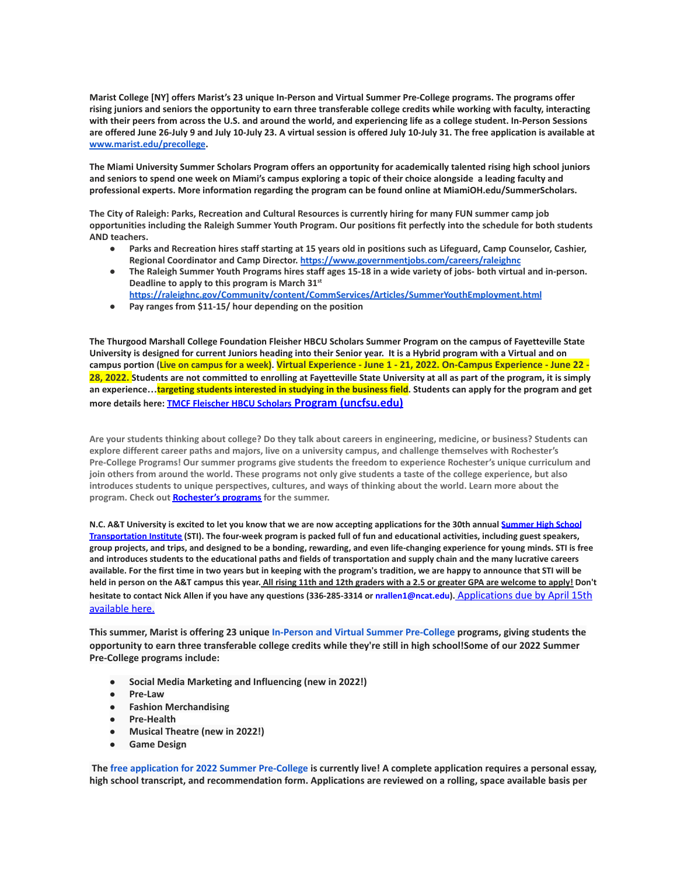**Marist College [NY] offers Marist's 23 unique In-Person and Virtual Summer Pre-College programs. The programs offer rising juniors and seniors the opportunity to earn three transferable college credits while working with faculty, interacting with their peers from across the U.S. and around the world, and experiencing life as a college student. In-Person Sessions are offered June 26-July 9 and July 10-July 23. A virtual session is offered July 10-July 31. The free application is available at [www.marist.edu/precollege](http://www.marist.edu/precollege).**

**The Miami University Summer Scholars Program offers an opportunity for academically talented rising high school juniors and seniors to spend one week on Miami's campus exploring a topic of their choice alongside a leading faculty and professional experts. More information regarding the program can be found online at MiamiOH.edu/SummerScholars.**

**The City of Raleigh: Parks, Recreation and Cultural Resources is currently hiring for many FUN summer camp job opportunities including the Raleigh Summer Youth Program. Our positions fit perfectly into the schedule for both students AND teachers.**

- **● Parks and Recreation hires staff starting at 15 years old in positions such as Lifeguard, Camp Counselor, Cashier, Regional Coordinator and Camp Director. <https://www.governmentjobs.com/careers/raleighnc>**
- **● The Raleigh Summer Youth Programs hires staff ages 15-18 in a wide variety of jobs- both virtual and in-person. Deadline to apply to this program is March 31st**
- **<https://raleighnc.gov/Community/content/CommServices/Articles/SummerYouthEmployment.html>**
- **● Pay ranges from \$11-15/ hour depending on the position**

**The Thurgood Marshall College Foundation Fleisher HBCU Scholars Summer Program on the campus of Fayetteville State University is designed for current Juniors heading into their Senior year. It is a Hybrid program with a Virtual and on** campus portion (Live on campus for a week). Virtual Experience - June 1 - 21, 2022. On-Campus Experience - June 22 -**28, 2022. Students are not committed to enrolling at Fayetteville State University at all as part of the program, it is simply an experience…targeting students interested in studying in the business field. Students can apply for the program and get more details here: [TMCF Fleischer HBCU Scholars](https://www.uncfsu.edu/fsu-admissions/undergraduate-admissions/freshman/tmcf-fleischer-hbcu-scholars-program) Program (uncfsu.edu)**

**Are your students thinking about college? Do they talk about careers in engineering, medicine, or business? Students can explore different career paths and majors, live on a university campus, and challenge themselves with Rochester's Pre-College Programs! Our summer programs give students the freedom to experience Rochester's unique curriculum and join others from around the world. These programs not only give students a taste of the college experience, but also introduces students to unique perspectives, cultures, and ways of thinking about the world. Learn more about the program. Check out [Rochester's programs](https://mx.technolutions.net/ss/c/VpDhrCrvzjOrNk6AZ3TbHmfciYltKrD7MBPJoCczPWIpxnRQzWKzzHDQWRCT4ITrZgBGUpBV0oJyZx6JR4wlKA/3k5/S_JCymRIRTKmq8wpxCFQXg/h1/NhgfUr5_fLermZgjpTef9a9tmAUC5e_IGJRjXZLuFKQ) for the summer.**

N.C. A&T University is excited to let you know that we are now accepting applications for the 30th annual [Summer](https://ncat.us10.list-manage.com/track/click?u=16e0de389d8e5c15344477a62&id=d5f9e08b9c&e=61b6ee945d) High School [Transportation](https://ncat.us10.list-manage.com/track/click?u=16e0de389d8e5c15344477a62&id=d5f9e08b9c&e=61b6ee945d) Institute (STI). The four-week program is packed full of fun and educational activities, including guest speakers, group projects, and trips, and designed to be a bonding, rewarding, and even life-changing experience for young minds. STI is free and introduces students to the educational paths and fields of transportation and supply chain and the many lucrative careers available. For the first time in two years but in keeping with the program's tradition, we are happy to announce that STI will be held in person on the A&T campus this year. All rising 11th and 12th graders with a 2.5 or greater GPA are welcome to apply! Don't **hesitate to contact Nick Allen if you have any questions (336-285-3314 or nrallen1@ncat.edu).** [Applications](https://ncat.us10.list-manage.com/track/click?u=16e0de389d8e5c15344477a62&id=b587740df6&e=61b6ee945d) due by April 15th [available](https://ncat.us10.list-manage.com/track/click?u=16e0de389d8e5c15344477a62&id=b587740df6&e=61b6ee945d) here.

**This summer, Marist is offering 23 unique In-Person and Virtual Summer [Pre-College](https://api.targetx.com/email-interact/redirect?id=MTEwMDAwNDI5IDcwMTFQMDAwMDAwdWRmRVFBUSBhMEcxUDAwMDAxVjd5MkxVQVIgMDAzMWEwMDAwMEJVenBBQUFU&link=https%3A//www.marist.edu/admission/summer-pre-college&tlink=aHR0cHM6Ly93d3cubWFyaXN0LmVkdS9hZG1pc3Npb24vc3VtbWVyLXByZS1jb2xsZWdl) programs, giving students the** opportunity to earn three transferable college credits while they're still in high school!Some of our 2022 Summer **Pre-College programs include:**

- **● Social Media Marketing and Influencing (new in 2022!)**
- **● Pre-Law**
- **● Fashion Merchandising**
- **● Pre-Health**
- **● Musical Theatre (new in 2022!)**
- **● Game Design**

The free application for 2022 Summer [Pre-College](https://api.targetx.com/email-interact/redirect?id=MTEwMDAwNDI5IDcwMTFQMDAwMDAwdWRmRVFBUSBhMEcxUDAwMDAxVjd5MkxVQVIgMDAzMWEwMDAwMEJVenBBQUFU&link=https%3A//www.marist.edu/admission/summer-pre-college/how-to-apply&tlink=aHR0cHM6Ly93d3cubWFyaXN0LmVkdS9hZG1pc3Npb24vc3VtbWVyLXByZS1jb2xsZWdlL2hvdy10by1hcHBseQ%3D%3D) is currently live! A complete application requires a personal essay, high school transcript, and recommendation form. Applications are reviewed on a rolling, space available basis per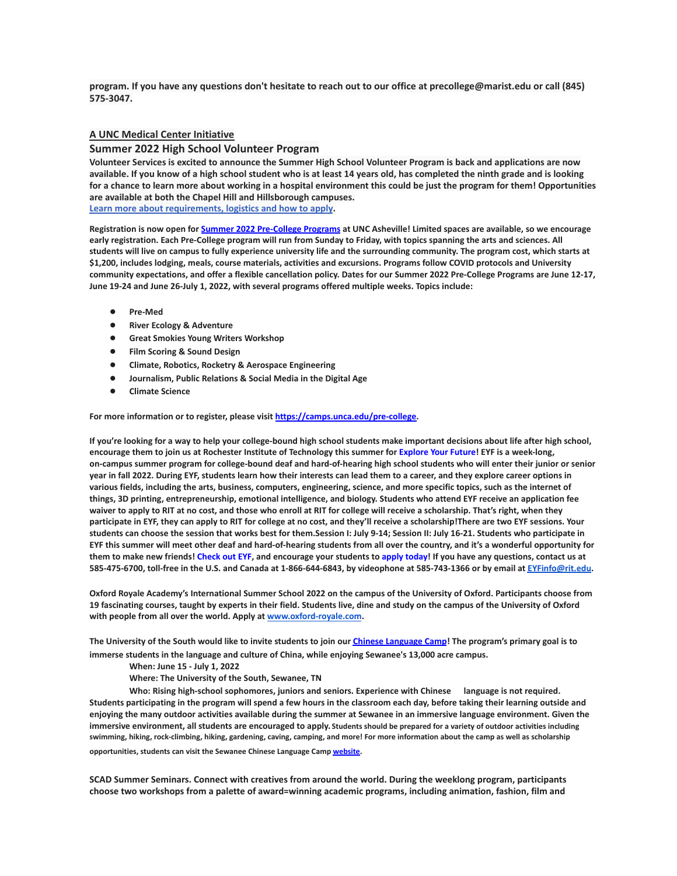program. If you have any questions don't hesitate to reach out to our office at precollege@marist.edu or call (845) **575-3047.**

#### **A UNC Medical Center Initiative**

#### **Summer 2022 High School Volunteer Program**

**Volunteer Services is excited to announce the Summer High School Volunteer Program is back and applications are now available. If you know of a high school student who is at least 14 years old, has completed the ninth grade and is looking for a chance to learn more about working in a hospital environment this could be just the program for them! Opportunities are available at both the Chapel Hill and Hillsborough campuses.**

**[Learn more about requirements, logistics and how to apply](https://www.uncmedicalcenter.org/uncmc/support/volunteer-services/high-school-volunteers/).**

Registration is now open for Summer 2022 [Pre-College](https://mx.technolutions.net/ss/c/cHS6KxvaczfHhqkpLrKMJVWPxcQYRt0e0iEku2lDCy7TWiJx1_55o8zjVGV1sVk6/3jg/1SU4Iqm8RKCGs9Kqp3oKCA/h1/8KmmmA0tWn519kb2cHeogzMl7YlN_0BGLRgnvms3mCI) Programs at UNC Asheville! Limited spaces are available, so we encourage early registration. Each Pre-College program will run from Sunday to Friday, with topics spanning the arts and sciences. All students will live on campus to fully experience university life and the surrounding community. The program cost, which starts at \$1,200, includes lodging, meals, course materials, activities and excursions. Programs follow COVID protocols and University community expectations, and offer a flexible cancellation policy. Dates for our Summer 2022 Pre-College Programs are June 12-17, **June 19-24 and June 26-July 1, 2022, with several programs offered multiple weeks. Topics include:**

- **● Pre-Med**
- **● River Ecology & Adventure**
- **● Great Smokies Young Writers Workshop**
- **● Film Scoring & Sound Design**
- **● Climate, Robotics, Rocketry & Aerospace Engineering**
- **● Journalism, Public Relations & Social Media in the Digital Age**
- **● Climate Science**

**For more information or to register, please visit [https://camps.unca.edu/pre-college.](https://mx.technolutions.net/ss/c/BQM-IylQKwVhFDmSUz94JMzQQ0hkkx5ESJs5UdbzD71mct6i1Y__RJ3rL4CzntUn/3jg/1SU4Iqm8RKCGs9Kqp3oKCA/h2/MZqaRAcrABE7L3WtqgiOohchCUtuWHHU1_eALUf2hTU)**

If you're looking for a way to help your college-bound high school students make important decisions about life after high school, encourage them to join us at Rochester Institute of Technology this summer for [Explore](https://mx.technolutions.net/ss/c/gsby7xed_Q9kJKoUKuDGdB9R9sive_ZsM1Qb_nhkgjA08w4AqgRoJb0vlLFSSjZT/3j6/cfOu9R3lR8u3xTRhpngdYQ/h2/xzdGfzy3I2uSoAWXNd4vWkN1gV7yfnaiLQn6UQatgnc) Your Future! EYF is a week-long, on-campus summer program for college-bound deaf and hard-of-hearing high school students who will enter their junior or senior year in fall 2022. During EYF, students learn how their interests can lead them to a career, and they explore career options in various fields, including the arts, business, computers, engineering, science, and more specific topics, such as the internet of things, 3D printing, entrepreneurship, emotional intelligence, and biology. Students who attend EYF receive an application fee waiver to apply to RIT at no cost, and those who enroll at RIT for college will receive a scholarship. That's right, when they participate in EYF, they can apply to RIT for college at no cost, and they'll receive a scholarship!There are two EYF sessions. Your students can choose the session that works best for them.Session I: July 9-14; Session II: July 16-21. Students who participate in EYF this summer will meet other deaf and hard-of-hearing students from all over the country, and it's a wonderful opportunity for them to make new friends! [Check](https://mx.technolutions.net/ss/c/gsby7xed_Q9kJKoUKuDGdB9R9sive_ZsM1Qb_nhkgjA08w4AqgRoJb0vlLFSSjZT/3j6/cfOu9R3lR8u3xTRhpngdYQ/h3/EJAJ5IZYnhy_5EoPb20FqK_vFekSoBF5wdP5m4I0v8E) out EYF, and encourage your students to apply [today!](https://mx.technolutions.net/ss/c/VpDhrCrvzjOrNk6AZ3TbHsDAoOWeZg67sWX3pIhEAGxCWhE-b5_ccZhgCUBu0qQbXV3r3Sp2r3bvI44-_FnkWzKY8PPT-NIXylVlj1p1QBc/3j6/cfOu9R3lR8u3xTRhpngdYQ/h4/z_F1GbKvjAXrSXS3vh6GZk3C0_JRjjBhcsu_861EJVE) If you have any questions, contact us at 585-475-6700, toll-free in the U.S. and Canada at 1-866-644-6843, by videophone at 585-743-1366 or by email at [EYFinfo@rit.edu.](mailto:EYFinfo@rit.edu)

Oxford Royale Academy's International Summer School 2022 on the campus of the University of Oxford. Participants choose from 19 fascinating courses, taught by experts in their field. Students live, dine and study on the campus of the University of Oxford **with people from all over the world. Apply at [www.oxford-royale.com](http://www.oxford-royale.com).**

The University of the South would like to invite students to join our *Chinese [Language](https://mx.technolutions.net/ss/c/eakQ-C8DCmUrd8y7yBWDFiYAOUoJQ4pz7MfbEBpip6l0y_Hm_m-q4S1NAhKySW0l0l52Av-XFInBcX_HbKNhaFaTuY25zEq03f7H2jjkYbiZerVnvT_jJBJvBnD8L-82oFcjCA4feCp5rOrmzPCcig/3h1/Zb0AzY0dSO6ybsQoCzalvA/h1/a-eaRv0bEo5dxrOjmNABke9N9q3IKNCmv7tp3yn1eRg) Camp!* The program's primary goal is to **immerse students in the language and culture of China, while enjoying Sewanee's 13,000 acre campus.**

**When: June 15 - July 1, 2022**

**Where: The University of the South, Sewanee, TN**

**Who: Rising high-school sophomores, juniors and seniors. Experience with Chinese language is not required.** Students participating in the program will spend a few hours in the classroom each day, before taking their learning outside and enjoying the many outdoor activities available during the summer at Sewanee in an immersive language environment. Given the **immersive environment, all students are encouraged to apply. Students should be prepared for a variety of outdoor activities including swimming, hiking, rock-climbing, hiking, gardening, caving, camping, and more! For more information about the camp as well as scholarship**

**opportunities, students can visit the Sewanee Chinese Language Camp [website.](https://mx.technolutions.net/ss/c/eakQ-C8DCmUrd8y7yBWDFiYAOUoJQ4pz7MfbEBpip6l0y_Hm_m-q4S1NAhKySW0l0l52Av-XFInBcX_HbKNhaFaTuY25zEq03f7H2jjkYbiZerVnvT_jJBJvBnD8L-82oFcjCA4feCp5rOrmzPCcig/3h1/Zb0AzY0dSO6ybsQoCzalvA/h2/75iusWoe6oX7KGnwrl--J5PGQK1G9zr9iO3WkMg5UHE)**

**SCAD Summer Seminars. Connect with creatives from around the world. During the weeklong program, participants choose two workshops from a palette of award=winning academic programs, including animation, fashion, film and**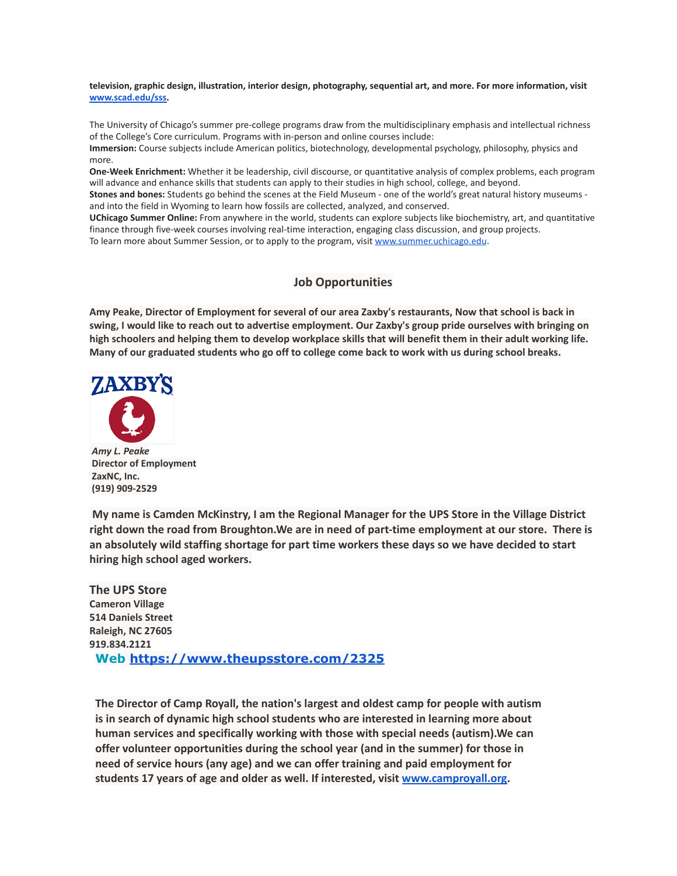**television, graphic design, illustration, interior design, photography, sequential art, and more. For more information, visit [www.scad.edu/sss.](http://www.scad.edu/sss)**

The University of Chicago's summer pre-college programs draw from the multidisciplinary emphasis and intellectual richness of the College's Core curriculum. Programs with in-person and online courses include:

**Immersion:** Course subjects include American politics, biotechnology, developmental psychology, philosophy, physics and more.

**One-Week Enrichment:** Whether it be leadership, civil discourse, or quantitative analysis of complex problems, each program will advance and enhance skills that students can apply to their studies in high school, college, and beyond.

**Stones and bones:** Students go behind the scenes at the Field Museum - one of the world's great natural history museums and into the field in Wyoming to learn how fossils are collected, analyzed, and conserved.

**UChicago Summer Online:** From anywhere in the world, students can explore subjects like biochemistry, art, and quantitative finance through five-week courses involving real-time interaction, engaging class discussion, and group projects. To learn more about Summer Session, or to apply to the program, visit [www.summer.uchicago.edu](http://www.summer.uchicago.edu).

# **Job Opportunities**

Amy Peake, Director of Employment for several of our area Zaxby's restaurants, Now that school is back in swing, I would like to reach out to advertise employment. Our Zaxby's group pride ourselves with bringing on high schoolers and helping them to develop workplace skills that will benefit them in their adult working life. Many of our graduated students who go off to college come back to work with us during school breaks.



*Amy L. Peake* **Director of Employment ZaxNC, Inc. (919) 909-2529**

**My name is Camden McKinstry, I am the Regional Manager for the UPS Store in the Village District right down the road from Broughton.We are in need of part-time employment at our store. There is an absolutely wild staffing shortage for part time workers these days so we have decided to start hiring high school aged workers.**

**The UPS Store Cameron Village 514 Daniels Street Raleigh, NC 27605 919.834.2121 Web <https://www.theupsstore.com/2325>**

**The Director of Camp Royall, the nation's largest and oldest camp for people with autism is in search of dynamic high school students who are interested in learning more about human services and specifically working with those with special needs (autism).We can offer volunteer opportunities during the school year (and in the summer) for those in need of service hours (any age) and we can offer training and paid employment for students 17 years of age and older as well. If interested, visit [www.camproyall.org.](http://www.camproyall.org)**